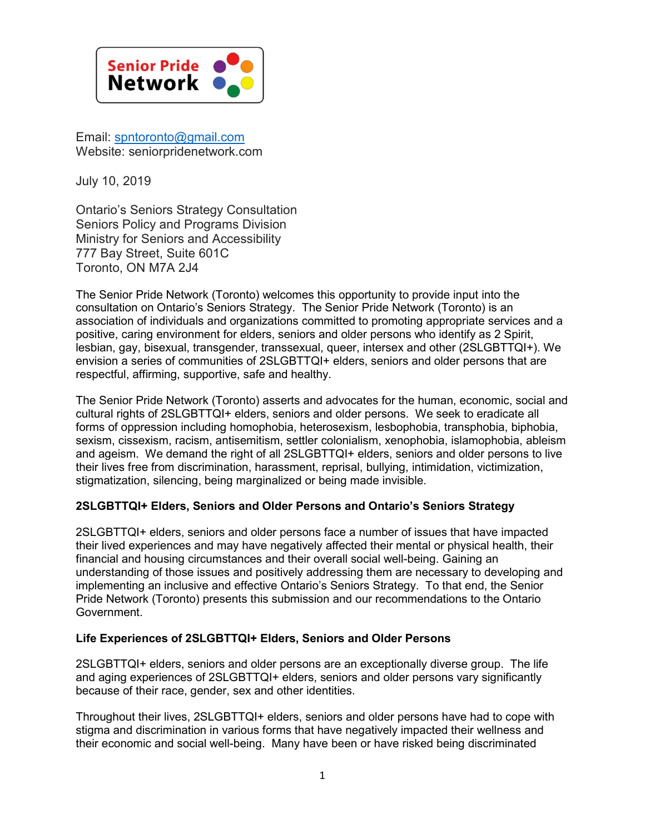

Email: [spntoronto@gmail.com](mailto:spntoronto@gmail.com) Website: seniorpridenetwork.com

July 10, 2019

Ontario's Seniors Strategy Consultation Seniors Policy and Programs Division Ministry for Seniors and Accessibility 777 Bay Street, Suite 601C Toronto, ON M7A 2J4

The Senior Pride Network (Toronto) welcomes this opportunity to provide input into the consultation on Ontario's Seniors Strategy. The Senior Pride Network (Toronto) is an association of individuals and organizations committed to promoting appropriate services and a positive, caring environment for elders, seniors and older persons who identify as 2 Spirit, lesbian, gay, bisexual, transgender, transsexual, queer, intersex and other (2SLGBTTQI+). We envision a series of communities of 2SLGBTTQI+ elders, seniors and older persons that are respectful, affirming, supportive, safe and healthy.

The Senior Pride Network (Toronto) asserts and advocates for the human, economic, social and cultural rights of 2SLGBTTQI+ elders, seniors and older persons. We seek to eradicate all forms of oppression including homophobia, heterosexism, lesbophobia, transphobia, biphobia, sexism, cissexism, racism, antisemitism, settler colonialism, xenophobia, islamophobia, ableism and ageism. We demand the right of all 2SLGBTTQI+ elders, seniors and older persons to live their lives free from discrimination, harassment, reprisal, bullying, intimidation, victimization, stigmatization, silencing, being marginalized or being made invisible.

# **2SLGBTTQI+ Elders, Seniors and Older Persons and Ontario's Seniors Strategy**

2SLGBTTQI+ elders, seniors and older persons face a number of issues that have impacted their lived experiences and may have negatively affected their mental or physical health, their financial and housing circumstances and their overall social well-being. Gaining an understanding of those issues and positively addressing them are necessary to developing and implementing an inclusive and effective Ontario's Seniors Strategy. To that end, the Senior Pride Network (Toronto) presents this submission and our recommendations to the Ontario Government.

# **Life Experiences of 2SLGBTTQI+ Elders, Seniors and Older Persons**

2SLGBTTQI+ elders, seniors and older persons are an exceptionally diverse group. The life and aging experiences of 2SLGBTTQI+ elders, seniors and older persons vary significantly because of their race, gender, sex and other identities.

Throughout their lives, 2SLGBTTQI+ elders, seniors and older persons have had to cope with stigma and discrimination in various forms that have negatively impacted their wellness and their economic and social well-being. Many have been or have risked being discriminated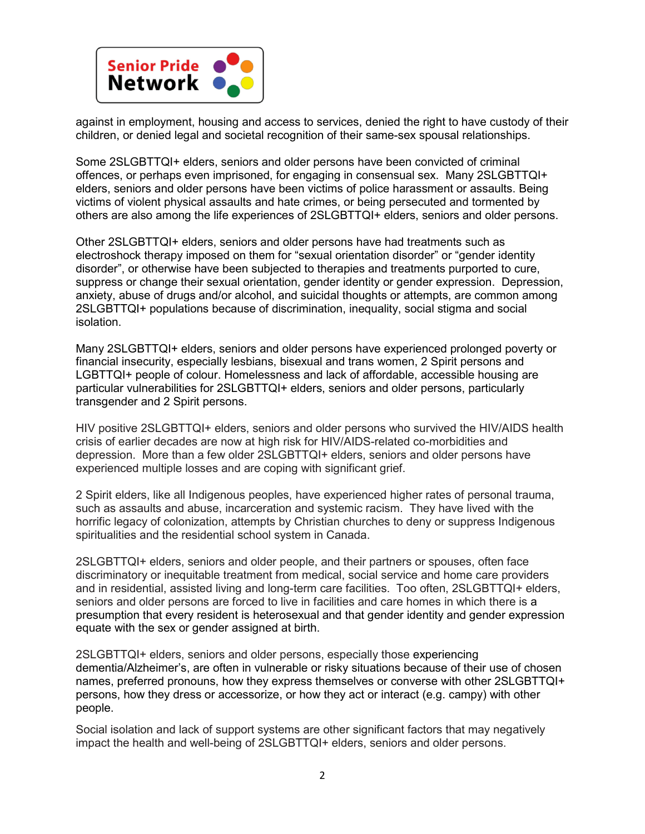

against in employment, housing and access to services, denied the right to have custody of their children, or denied legal and societal recognition of their same-sex spousal relationships.

Some 2SLGBTTQI+ elders, seniors and older persons have been convicted of criminal offences, or perhaps even imprisoned, for engaging in consensual sex. Many 2SLGBTTQI+ elders, seniors and older persons have been victims of police harassment or assaults. Being victims of violent physical assaults and hate crimes, or being persecuted and tormented by others are also among the life experiences of 2SLGBTTQI+ elders, seniors and older persons.

Other 2SLGBTTQI+ elders, seniors and older persons have had treatments such as electroshock therapy imposed on them for "sexual orientation disorder" or "gender identity disorder", or otherwise have been subjected to therapies and treatments purported to cure, suppress or change their sexual orientation, gender identity or gender expression. Depression, anxiety, abuse of drugs and/or alcohol, and suicidal thoughts or attempts, are common among 2SLGBTTQI+ populations because of discrimination, inequality, social stigma and social isolation.

Many 2SLGBTTQI+ elders, seniors and older persons have experienced prolonged poverty or financial insecurity, especially lesbians, bisexual and trans women, 2 Spirit persons and LGBTTQI+ people of colour. Homelessness and lack of affordable, accessible housing are particular vulnerabilities for 2SLGBTTQI+ elders, seniors and older persons, particularly transgender and 2 Spirit persons.

HIV positive 2SLGBTTQI+ elders, seniors and older persons who survived the HIV/AIDS health crisis of earlier decades are now at high risk for HIV/AIDS-related co-morbidities and depression. More than a few older 2SLGBTTQI+ elders, seniors and older persons have experienced multiple losses and are coping with significant grief.

2 Spirit elders, like all Indigenous peoples, have experienced higher rates of personal trauma, such as assaults and abuse, incarceration and systemic racism. They have lived with the horrific legacy of colonization, attempts by Christian churches to deny or suppress Indigenous spiritualities and the residential school system in Canada.

2SLGBTTQI+ elders, seniors and older people, and their partners or spouses, often face discriminatory or inequitable treatment from medical, social service and home care providers and in residential, assisted living and long-term care facilities. Too often, 2SLGBTTQI+ elders, seniors and older persons are forced to live in facilities and care homes in which there is a presumption that every resident is heterosexual and that gender identity and gender expression equate with the sex or gender assigned at birth.

2SLGBTTQI+ elders, seniors and older persons, especially those experiencing dementia/Alzheimer's, are often in vulnerable or risky situations because of their use of chosen names, preferred pronouns, how they express themselves or converse with other 2SLGBTTQI+ persons, how they dress or accessorize, or how they act or interact (e.g. campy) with other people.

Social isolation and lack of support systems are other significant factors that may negatively impact the health and well-being of 2SLGBTTQI+ elders, seniors and older persons.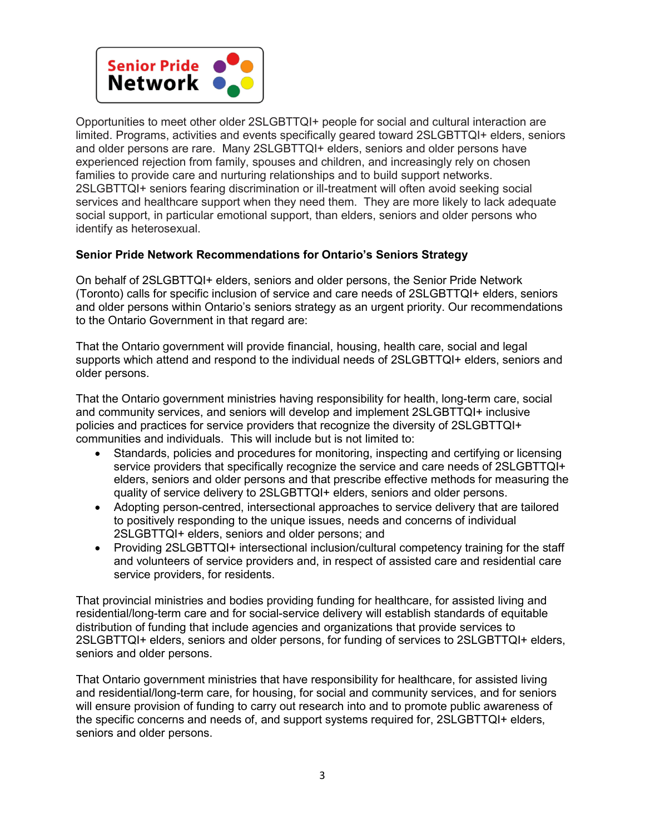

Opportunities to meet other older 2SLGBTTQI+ people for social and cultural interaction are limited. Programs, activities and events specifically geared toward 2SLGBTTQI+ elders, seniors and older persons are rare. Many 2SLGBTTQI+ elders, seniors and older persons have experienced rejection from family, spouses and children, and increasingly rely on chosen families to provide care and nurturing relationships and to build support networks. 2SLGBTTQI+ seniors fearing discrimination or ill-treatment will often avoid seeking social services and healthcare support when they need them. They are more likely to lack adequate social support, in particular emotional support, than elders, seniors and older persons who identify as heterosexual.

# **Senior Pride Network Recommendations for Ontario's Seniors Strategy**

On behalf of 2SLGBTTQI+ elders, seniors and older persons, the Senior Pride Network (Toronto) calls for specific inclusion of service and care needs of 2SLGBTTQI+ elders, seniors and older persons within Ontario's seniors strategy as an urgent priority. Our recommendations to the Ontario Government in that regard are:

That the Ontario government will provide financial, housing, health care, social and legal supports which attend and respond to the individual needs of 2SLGBTTQI+ elders, seniors and older persons.

That the Ontario government ministries having responsibility for health, long-term care, social and community services, and seniors will develop and implement 2SLGBTTQI+ inclusive policies and practices for service providers that recognize the diversity of 2SLGBTTQI+ communities and individuals. This will include but is not limited to:

- Standards, policies and procedures for monitoring, inspecting and certifying or licensing service providers that specifically recognize the service and care needs of 2SLGBTTQI+ elders, seniors and older persons and that prescribe effective methods for measuring the quality of service delivery to 2SLGBTTQI+ elders, seniors and older persons.
- Adopting person-centred, intersectional approaches to service delivery that are tailored to positively responding to the unique issues, needs and concerns of individual 2SLGBTTQI+ elders, seniors and older persons; and
- Providing 2SLGBTTQI+ intersectional inclusion/cultural competency training for the staff and volunteers of service providers and, in respect of assisted care and residential care service providers, for residents.

That provincial ministries and bodies providing funding for healthcare, for assisted living and residential/long-term care and for social-service delivery will establish standards of equitable distribution of funding that include agencies and organizations that provide services to 2SLGBTTQI+ elders, seniors and older persons, for funding of services to 2SLGBTTQI+ elders, seniors and older persons.

That Ontario government ministries that have responsibility for healthcare, for assisted living and residential/long-term care, for housing, for social and community services, and for seniors will ensure provision of funding to carry out research into and to promote public awareness of the specific concerns and needs of, and support systems required for, 2SLGBTTQI+ elders, seniors and older persons.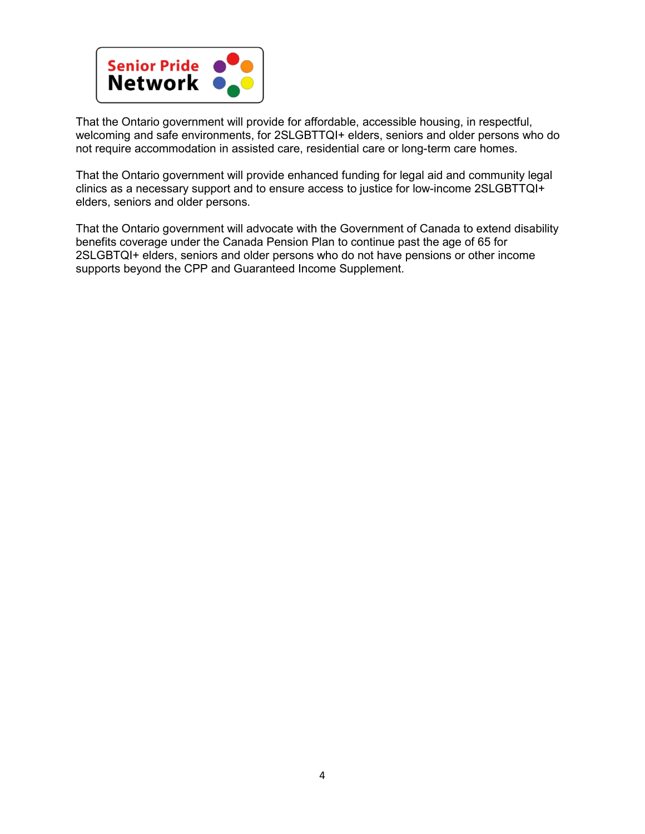

That the Ontario government will provide for affordable, accessible housing, in respectful, welcoming and safe environments, for 2SLGBTTQI+ elders, seniors and older persons who do not require accommodation in assisted care, residential care or long-term care homes.

That the Ontario government will provide enhanced funding for legal aid and community legal clinics as a necessary support and to ensure access to justice for low-income 2SLGBTTQI+ elders, seniors and older persons.

That the Ontario government will advocate with the Government of Canada to extend disability benefits coverage under the Canada Pension Plan to continue past the age of 65 for 2SLGBTQI+ elders, seniors and older persons who do not have pensions or other income supports beyond the CPP and Guaranteed Income Supplement.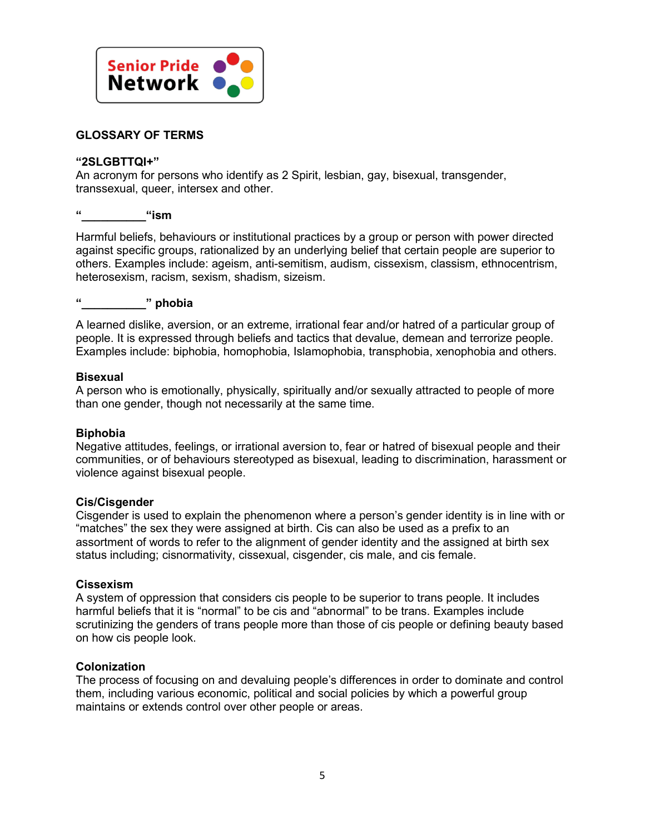

# **GLOSSARY OF TERMS**

### **"2SLGBTTQI+"**

An acronym for persons who identify as 2 Spirit, lesbian, gay, bisexual, transgender, transsexual, queer, intersex and other.

# **"\_\_\_\_\_\_\_\_\_\_"ism**

Harmful beliefs, behaviours or institutional practices by a group or person with power directed against specific groups, rationalized by an underlying belief that certain people are superior to others. Examples include: ageism, anti-semitism, audism, cissexism, classism, ethnocentrism, heterosexism, racism, sexism, shadism, sizeism.

## **"\_\_\_\_\_\_\_\_\_\_" phobia**

A learned dislike, aversion, or an extreme, irrational fear and/or hatred of a particular group of people. It is expressed through beliefs and tactics that devalue, demean and terrorize people. Examples include: biphobia, homophobia, Islamophobia, transphobia, xenophobia and others.

#### **Bisexual**

A person who is emotionally, physically, spiritually and/or sexually attracted to people of more than one gender, though not necessarily at the same time.

### **Biphobia**

Negative attitudes, feelings, or irrational aversion to, fear or hatred of bisexual people and their communities, or of behaviours stereotyped as bisexual, leading to discrimination, harassment or violence against bisexual people.

### **Cis/Cisgender**

Cisgender is used to explain the phenomenon where a person's gender identity is in line with or "matches" the sex they were assigned at birth. Cis can also be used as a prefix to an assortment of words to refer to the alignment of gender identity and the assigned at birth sex status including; cisnormativity, cissexual, cisgender, cis male, and cis female.

### **Cissexism**

A system of oppression that considers cis people to be superior to trans people. It includes harmful beliefs that it is "normal" to be cis and "abnormal" to be trans. Examples include scrutinizing the genders of trans people more than those of cis people or defining beauty based on how cis people look.

#### **Colonization**

The process of focusing on and devaluing people's differences in order to dominate and control them, including various economic, political and social policies by which a powerful group maintains or extends control over other people or areas.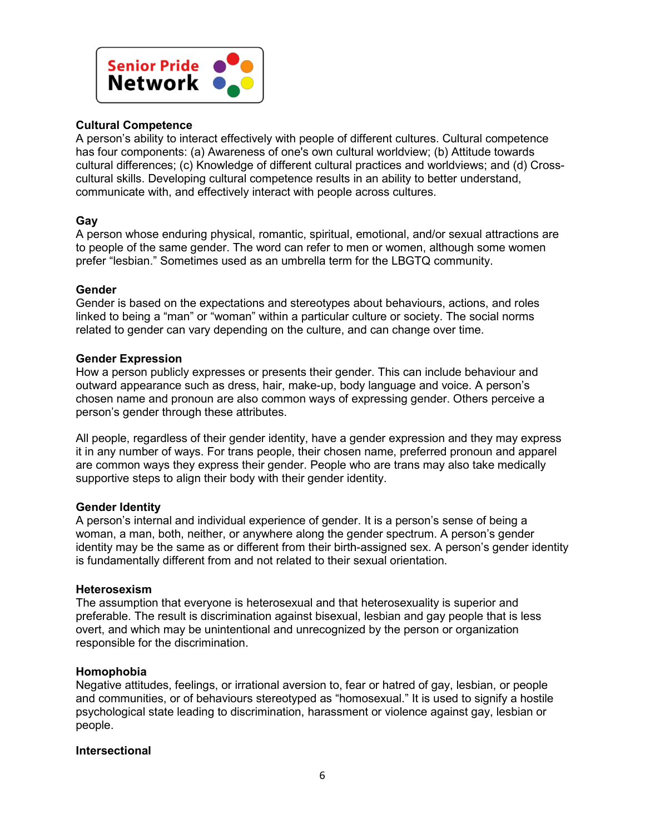

### **Cultural Competence**

A person's ability to interact effectively with people of different cultures. Cultural competence has four components: (a) Awareness of one's own cultural worldview; (b) Attitude towards cultural differences; (c) Knowledge of different cultural practices and worldviews; and (d) Crosscultural skills. Developing cultural competence results in an ability to better understand, communicate with, and effectively interact with people across cultures.

## **Gay**

A person whose enduring physical, romantic, spiritual, emotional, and/or sexual attractions are to people of the same gender. The word can refer to men or women, although some women prefer "lesbian." Sometimes used as an umbrella term for the LBGTQ community.

## **Gender**

Gender is based on the expectations and stereotypes about behaviours, actions, and roles linked to being a "man" or "woman" within a particular culture or society. The social norms related to gender can vary depending on the culture, and can change over time.

## **Gender Expression**

How a person publicly expresses or presents their gender. This can include behaviour and outward appearance such as dress, hair, make-up, body language and voice. A person's chosen name and pronoun are also common ways of expressing gender. Others perceive a person's gender through these attributes.

All people, regardless of their gender identity, have a gender expression and they may express it in any number of ways. For trans people, their chosen name, preferred pronoun and apparel are common ways they express their gender. People who are trans may also take medically supportive steps to align their body with their gender identity.

### **Gender Identity**

A person's internal and individual experience of gender. It is a person's sense of being a woman, a man, both, neither, or anywhere along the gender spectrum. A person's gender identity may be the same as or different from their birth-assigned sex. A person's gender identity is fundamentally different from and not related to their sexual orientation.

### **Heterosexism**

The assumption that everyone is heterosexual and that heterosexuality is superior and preferable. The result is discrimination against bisexual, lesbian and gay people that is less overt, and which may be unintentional and unrecognized by the person or organization responsible for the discrimination.

### **Homophobia**

Negative attitudes, feelings, or irrational aversion to, fear or hatred of gay, lesbian, or people and communities, or of behaviours stereotyped as "homosexual." It is used to signify a hostile psychological state leading to discrimination, harassment or violence against gay, lesbian or people.

### **Intersectional**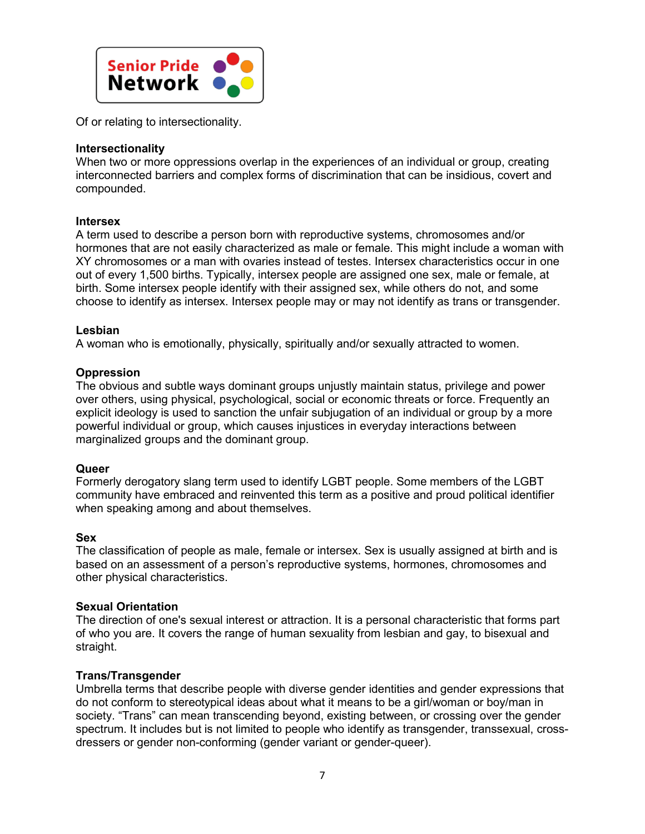

Of or relating to intersectionality.

### **Intersectionality**

When two or more oppressions overlap in the experiences of an individual or group, creating interconnected barriers and complex forms of discrimination that can be insidious, covert and compounded.

### **Intersex**

A term used to describe a person born with reproductive systems, chromosomes and/or hormones that are not easily characterized as male or female. This might include a woman with XY chromosomes or a man with ovaries instead of testes. Intersex characteristics occur in one out of every 1,500 births. Typically, intersex people are assigned one sex, male or female, at birth. Some intersex people identify with their assigned sex, while others do not, and some choose to identify as intersex. Intersex people may or may not identify as trans or transgender.

## **Lesbian**

A woman who is emotionally, physically, spiritually and/or sexually attracted to women.

## **Oppression**

The obvious and subtle ways dominant groups unjustly maintain status, privilege and power over others, using physical, psychological, social or economic threats or force. Frequently an explicit ideology is used to sanction the unfair subjugation of an individual or group by a more powerful individual or group, which causes injustices in everyday interactions between marginalized groups and the dominant group.

### **Queer**

Formerly derogatory slang term used to identify LGBT people. Some members of the LGBT community have embraced and reinvented this term as a positive and proud political identifier when speaking among and about themselves.

### **Sex**

The classification of people as male, female or intersex. Sex is usually assigned at birth and is based on an assessment of a person's reproductive systems, hormones, chromosomes and other physical characteristics.

# **Sexual Orientation**

The direction of one's sexual interest or attraction. It is a personal characteristic that forms part of who you are. It covers the range of human sexuality from lesbian and gay, to bisexual and straight.

### **Trans/Transgender**

Umbrella terms that describe people with diverse gender identities and gender expressions that do not conform to stereotypical ideas about what it means to be a girl/woman or boy/man in society. "Trans" can mean transcending beyond, existing between, or crossing over the gender spectrum. It includes but is not limited to people who identify as transgender, transsexual, crossdressers or gender non-conforming (gender variant or gender-queer).